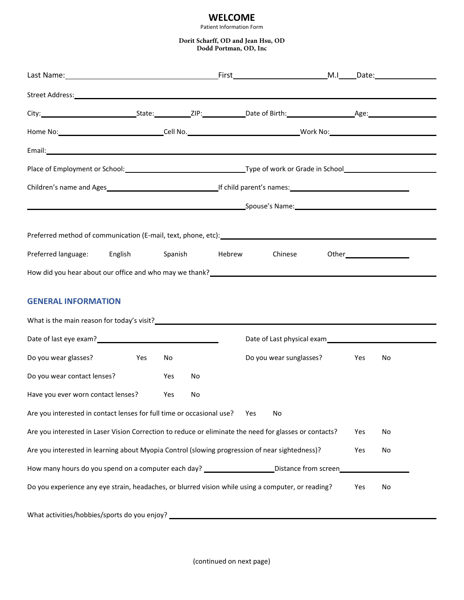## **WELCOME**

Patient Information Form

**Dorit Scharff, OD and Jean Hsu, OD Dodd Portman, OD, Inc**

| Street Address: Universe of the Community of the Community of the Community of the Community of the Community of the Community of the Community of the Community of the Community of the Community of the Community of the Com |  |     |    |     |                             |  |  |    |  |
|--------------------------------------------------------------------------------------------------------------------------------------------------------------------------------------------------------------------------------|--|-----|----|-----|-----------------------------|--|--|----|--|
|                                                                                                                                                                                                                                |  |     |    |     |                             |  |  |    |  |
|                                                                                                                                                                                                                                |  |     |    |     |                             |  |  |    |  |
|                                                                                                                                                                                                                                |  |     |    |     |                             |  |  |    |  |
|                                                                                                                                                                                                                                |  |     |    |     |                             |  |  |    |  |
| Children's name and Ages<br>Lif child parent's names:<br>If child parent's names:                                                                                                                                              |  |     |    |     |                             |  |  |    |  |
|                                                                                                                                                                                                                                |  |     |    |     |                             |  |  |    |  |
|                                                                                                                                                                                                                                |  |     |    |     |                             |  |  |    |  |
| Preferred language: English Spanish Hebrew                                                                                                                                                                                     |  |     |    |     | Chinese                     |  |  |    |  |
| How did you hear about our office and who may we thank?<br>How did you hear about our office and who may we thank?                                                                                                             |  |     |    |     |                             |  |  |    |  |
| <b>GENERAL INFORMATION</b><br>What is the main reason for today's visit?<br><u> What is the main reason for today's visit?</u>                                                                                                 |  |     |    |     |                             |  |  |    |  |
| Date of last eye exam?<br><u>Date of last eye exam?</u>                                                                                                                                                                        |  |     |    |     |                             |  |  |    |  |
| Do you wear glasses? Yes                                                                                                                                                                                                       |  | No  |    |     | Do you wear sunglasses? Yes |  |  | No |  |
| Do you wear contact lenses?                                                                                                                                                                                                    |  | Yes | No |     |                             |  |  |    |  |
| Have you ever worn contact lenses?                                                                                                                                                                                             |  | Yes | No |     |                             |  |  |    |  |
| Are you interested in contact lenses for full time or occasional use?                                                                                                                                                          |  |     |    | Yes | No                          |  |  |    |  |
| Are you interested in Laser Vision Correction to reduce or eliminate the need for glasses or contacts?<br>Yes<br>No                                                                                                            |  |     |    |     |                             |  |  |    |  |
| Are you interested in learning about Myopia Control (slowing progression of near sightedness)?<br>No<br>Yes                                                                                                                    |  |     |    |     |                             |  |  |    |  |
| How many hours do you spend on a computer each day? ________________________Distance from screen______________                                                                                                                 |  |     |    |     |                             |  |  |    |  |
| Do you experience any eye strain, headaches, or blurred vision while using a computer, or reading?<br>Yes<br>No                                                                                                                |  |     |    |     |                             |  |  |    |  |
| What activities/hobbies/sports do you enjoy? ___________________________________                                                                                                                                               |  |     |    |     |                             |  |  |    |  |